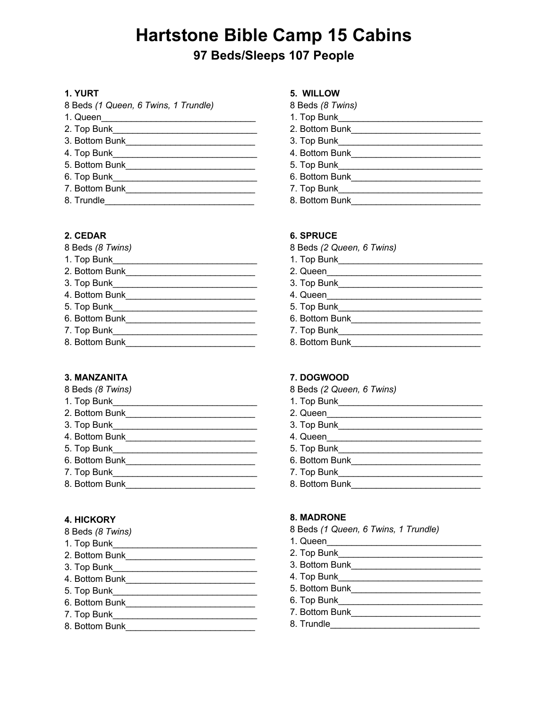# **Hartstone Bible Camp 15 Cabins**

## **97 Beds/Sleeps 107 People**

#### **1. YURT**

| 8 Beds (1 Queen, 6 Twins, 1 Trundle) |  |
|--------------------------------------|--|
| 1. Queen                             |  |
| 2. Top Bunk                          |  |
| 3. Bottom Bunk                       |  |
| 4. Top Bunk                          |  |
| 5. Bottom Bunk                       |  |
| 6. Top Bunk                          |  |
| 7. Bottom Bunk                       |  |
| 8. Trundle                           |  |

#### **2. CEDAR**

| 1. Top Bunk<br>2. Bottom Bunk<br>3. Top Bunk<br>4. Bottom Bunk<br>5. Top Bunk<br>6. Bottom Bunk<br>7. Top Bunk<br>8. Bottom Bunk | 8 Beds (8 Twins) |
|----------------------------------------------------------------------------------------------------------------------------------|------------------|
|                                                                                                                                  |                  |
|                                                                                                                                  |                  |
|                                                                                                                                  |                  |
|                                                                                                                                  |                  |
|                                                                                                                                  |                  |
|                                                                                                                                  |                  |
|                                                                                                                                  |                  |
|                                                                                                                                  |                  |

#### **3. MANZANITA**  8 Beds *(8 Twins)*

| <b>6 Beds</b> ( <i>6 TWINS</i> ) |
|----------------------------------|
| 1. Top Bunk                      |
| 2. Bottom Bunk                   |
| 3. Top Bunk                      |
| 4. Bottom Bunk                   |
| 5. Top Bunk                      |
| 6. Bottom Bunk                   |
| 7. Top Bunk                      |
| 8. Bottom Bunk                   |

#### **4. HICKORY**

- 1. Top Bunk\_\_\_\_\_\_\_\_\_\_\_\_\_\_\_\_\_\_\_\_\_\_\_\_\_\_\_\_\_
- 2. Bottom Bunk\_\_\_\_\_\_\_\_\_\_\_\_\_\_\_\_\_\_\_\_\_\_\_\_\_\_
- 3. Top Bunk\_\_\_\_\_\_\_\_\_\_\_\_\_\_\_\_\_\_\_\_\_\_\_\_\_\_\_\_\_
- 4. Bottom Bunk\_\_\_\_\_\_\_\_\_\_\_\_\_\_\_\_\_\_\_\_\_\_\_\_\_\_
- 5. Top Bunk\_\_\_\_\_\_\_\_\_\_\_\_\_\_\_\_\_\_\_\_\_\_\_\_\_\_\_\_\_
- 6. Bottom Bunk\_\_\_\_\_\_\_\_\_\_\_\_\_\_\_\_\_\_\_\_\_\_\_\_\_\_
- 7. Top Bunk\_\_\_\_\_\_\_\_\_\_\_\_\_\_\_\_\_\_\_\_\_\_\_\_\_\_\_\_\_
- 8. Bottom Bunk\_\_\_\_\_\_\_\_\_\_\_\_\_\_\_\_\_\_\_\_\_\_\_\_\_\_

#### **5. WILLOW**

| 8 Beds (8 Twins) |  |  |
|------------------|--|--|
|------------------|--|--|

- 1. Top Bunk\_\_\_\_\_\_\_\_\_\_\_\_\_\_\_\_\_\_\_\_\_\_\_\_\_\_\_\_\_
- 2. Bottom Bunk\_\_\_\_\_\_\_\_\_\_\_\_\_\_\_\_\_\_\_\_\_\_\_\_\_\_
- 3. Top Bunk\_\_\_\_\_\_\_\_\_\_\_\_\_\_\_\_\_\_\_\_\_\_\_\_\_\_\_\_\_
- 
- 5. Top Bunk\_\_\_\_\_\_\_\_\_\_\_\_\_\_\_\_\_\_\_\_\_\_\_\_\_\_\_\_\_
- 6. Bottom Bunk\_\_\_\_\_\_\_\_\_\_\_\_\_\_\_\_\_\_\_\_\_\_\_\_\_\_
- 7. Top Bunk\_\_\_\_\_\_\_\_\_\_\_\_\_\_\_\_\_\_\_\_\_\_\_\_\_\_\_\_\_
- 8. Bottom Bunk\_\_\_\_\_\_\_\_\_\_\_\_\_\_\_\_\_\_\_\_\_\_\_\_\_\_

#### **6. SPRUCE**

- 8 Beds *(2 Queen, 6 Twins)*
- 1. Top Bunk\_\_\_\_\_\_\_\_\_\_\_\_\_\_\_\_\_\_\_\_\_\_\_\_\_\_\_\_\_
- 2. Queen\_\_\_\_\_\_\_\_\_\_\_\_\_\_\_\_\_\_\_\_\_\_\_\_\_\_\_\_\_\_\_
- 3. Top Bunk\_\_\_\_\_\_\_\_\_\_\_\_\_\_\_\_\_\_\_\_\_\_\_\_\_\_\_\_\_
- 4. Queen\_\_\_\_\_\_\_\_\_\_\_\_\_\_\_\_\_\_\_\_\_\_\_\_\_\_\_\_\_\_\_
- 5. Top Bunk\_\_\_\_\_\_\_\_\_\_\_\_\_\_\_\_\_\_\_\_\_\_\_\_\_\_\_\_\_
- 6. Bottom Bunk\_\_\_\_\_\_\_\_\_\_\_\_\_\_\_\_\_\_\_\_\_\_\_\_\_\_
- 7. Top Bunk\_\_\_\_\_\_\_\_\_\_\_\_\_\_\_\_\_\_\_\_\_\_\_\_\_\_\_\_\_
- 8. Bottom Bunk\_\_\_\_\_\_\_\_\_\_\_\_\_\_\_\_\_\_\_\_\_\_\_\_\_\_

#### **7. DOGWOOD**

- 8 Beds *(2 Queen, 6 Twins)*
- 1. Top Bunk\_\_\_\_\_\_\_\_\_\_\_\_\_\_\_\_\_\_\_\_\_\_\_\_\_\_\_\_\_
- 2. Queen\_\_\_\_\_\_\_\_\_\_\_\_\_\_\_\_\_\_\_\_\_\_\_\_\_\_\_\_\_\_\_
- 3. Top Bunk\_\_\_\_\_\_\_\_\_\_\_\_\_\_\_\_\_\_\_\_\_\_\_\_\_\_\_\_\_
- 4. Queen\_\_\_\_\_\_\_\_\_\_\_\_\_\_\_\_\_\_\_\_\_\_\_\_\_\_\_\_\_\_\_
- 5. Top Bunk\_\_\_\_\_\_\_\_\_\_\_\_\_\_\_\_\_\_\_\_\_\_\_\_\_\_\_\_\_
- 6. Bottom Bunk\_\_\_\_\_\_\_\_\_\_\_\_\_\_\_\_\_\_\_\_\_\_\_\_\_\_
- 7. Top Bunk\_\_\_\_\_\_\_\_\_\_\_\_\_\_\_\_\_\_\_\_\_\_\_\_\_\_\_\_\_
- 8. Bottom Bunk\_\_\_\_\_\_\_\_\_\_\_\_\_\_\_\_\_\_\_\_\_\_\_\_\_\_

#### **8. MADRONE**

- 8 Beds *(1 Queen, 6 Twins, 1 Trundle)*
- 1. Queen\_\_\_\_\_\_\_\_\_\_\_\_\_\_\_\_\_\_\_\_\_\_\_\_\_\_\_\_\_\_\_
- 2. Top Bunk\_\_\_\_\_\_\_\_\_\_\_\_\_\_\_\_\_\_\_\_\_\_\_\_\_\_\_\_\_
- 3. Bottom Bunk\_\_\_\_\_\_\_\_\_\_\_\_\_\_\_\_\_\_\_\_\_\_\_\_\_\_
- 4. Top Bunk\_\_\_\_\_\_\_\_\_\_\_\_\_\_\_\_\_\_\_\_\_\_\_\_\_\_\_\_\_
- 5. Bottom Bunk\_\_\_\_\_\_\_\_\_\_\_\_\_\_\_\_\_\_\_\_\_\_\_\_\_\_
- 6. Top Bunk\_\_\_\_\_\_\_\_\_\_\_\_\_\_\_\_\_\_\_\_\_\_\_\_\_\_\_\_\_
- 7. Bottom Bunk\_\_\_\_\_\_\_\_\_\_\_\_\_\_\_\_\_\_\_\_\_\_\_\_\_\_
- 8. Trundle\_\_\_\_\_\_\_\_\_\_\_\_\_\_\_\_\_\_\_\_\_\_\_\_\_\_\_\_\_\_
- 4. Bottom Bunk\_\_\_\_\_\_\_\_\_\_\_\_\_\_\_\_\_\_\_\_\_\_\_\_\_\_
	-
	-